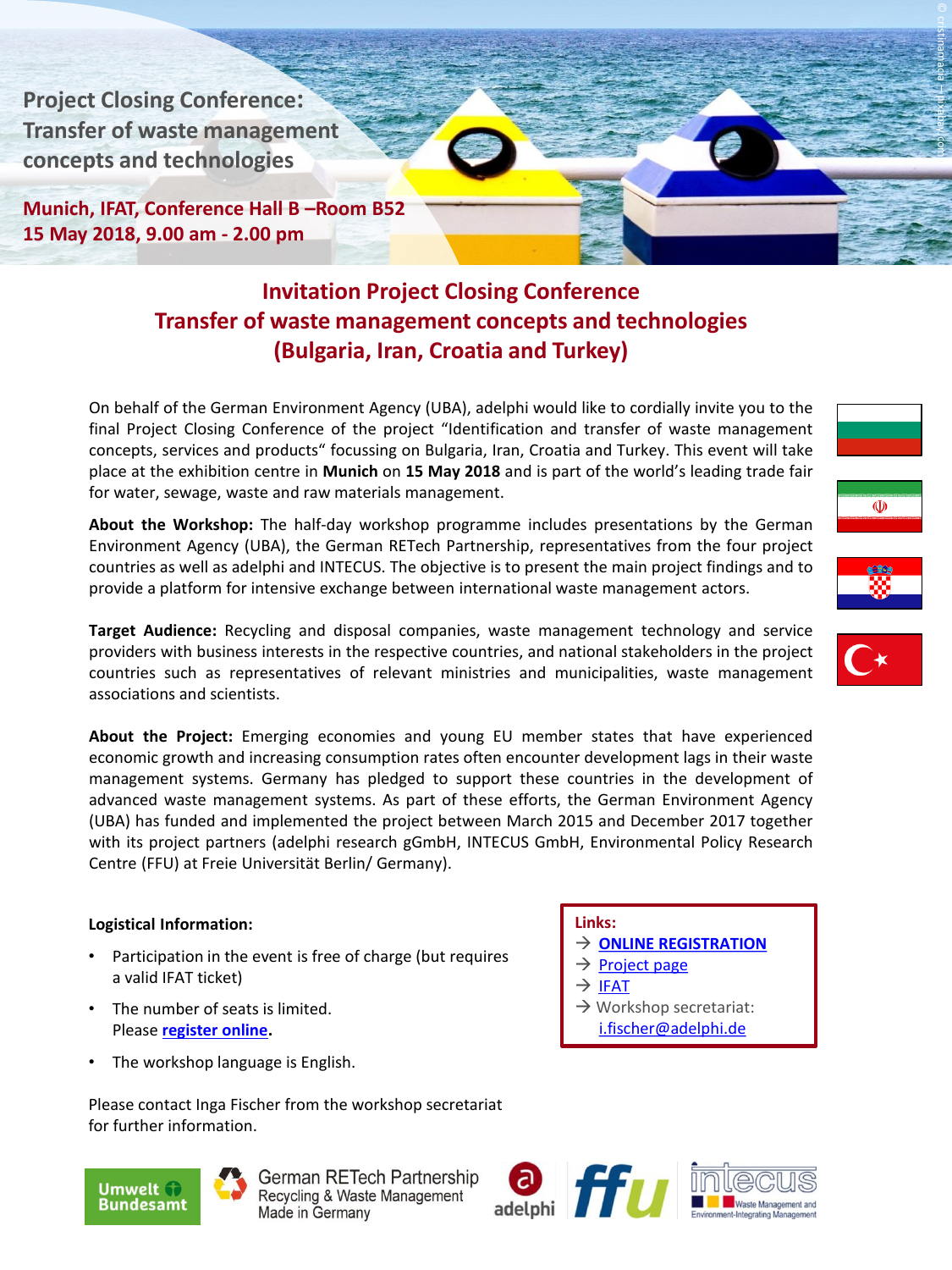**Project Closing Conference: Transfer of waste management concepts and technologies** 

**Munich, IFAT, Conference Hall B –Room B52 15 May 2018, 9.00 am - 2.00 pm**

## **Invitation Project Closing Conference Transfer of waste management concepts and technologies (Bulgaria, Iran, Croatia and Turkey)**

On behalf of the German Environment Agency (UBA), adelphi would like to cordially invite you to the final Project Closing Conference of the project "Identification and transfer of waste management concepts, services and products" focussing on Bulgaria, Iran, Croatia and Turkey. This event will take place at the exhibition centre in **Munich** on **15 May 2018** and is part of the world's leading trade fair for water, sewage, waste and raw materials management.

**About the Workshop:** The half-day workshop programme includes presentations by the German Environment Agency (UBA), the German RETech Partnership, representatives from the four project countries as well as adelphi and INTECUS. The objective is to present the main project findings and to provide a platform for intensive exchange between international waste management actors.

**Target Audience:** Recycling and disposal companies, waste management technology and service providers with business interests in the respective countries, and national stakeholders in the project countries such as representatives of relevant ministries and municipalities, waste management associations and scientists.

**About the Project:** Emerging economies and young EU member states that have experienced economic growth and increasing consumption rates often encounter development lags in their waste management systems. Germany has pledged to support these countries in the development of advanced waste management systems. As part of these efforts, the German Environment Agency (UBA) has funded and implemented the project between March 2015 and December 2017 together with its project partners (adelphi research gGmbH, INTECUS GmbH, Environmental Policy Research Centre (FFU) at Freie Universität Berlin/ Germany).

## **Logistical Information:**

- Participation in the event is free of charge (but requires a valid IFAT ticket)
- The number of seats is limited. Please **[register online](https://waste-concepts.adelphi.de/registration).**
- The workshop language is English.

Please contact Inga Fischer from the workshop secretariat for further information.



German RETech Partnership Recycling & Waste Management Made in Germany

## **Links:**

- **[ONLINE REGISTRATION](https://waste-concepts.adelphi.de/registration)**
- $\rightarrow$  [Project page](http://wasteconcepts.cleaner-production.de/en/)
- $\rightarrow$  [IFAT](https://www.ifat.de/index-2.html)
- $\rightarrow$  Workshop secretariat: [i.fischer@adelphi.de](mailto:i.fischer@adelphi.de)







© cristinamacia

pixabay.com